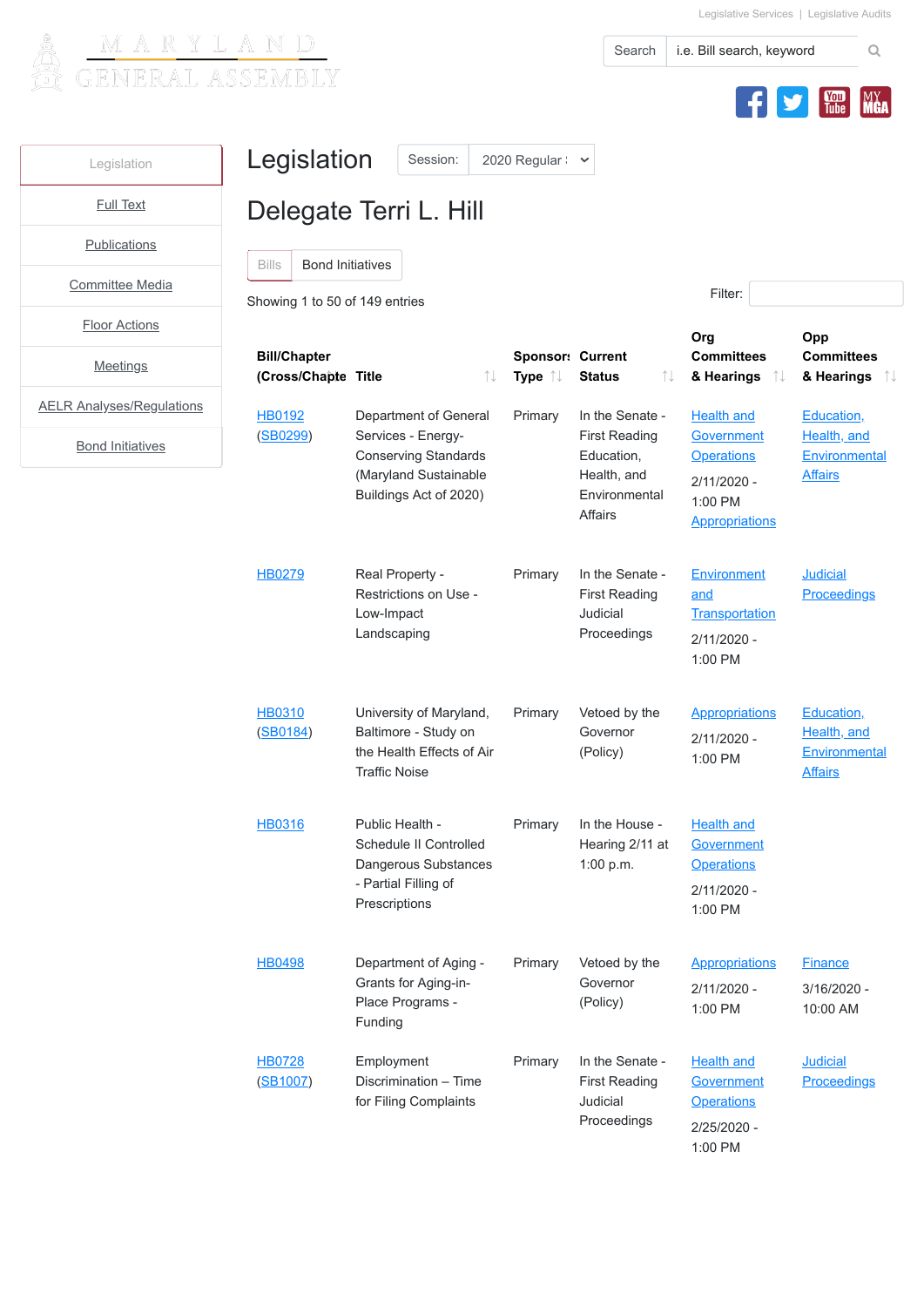| (Cross/Chapte Title       |                                                                                                                               | Type $\uparrow\downarrow$ | ↑↓<br><b>Status</b>                                                                                     | & Hearings<br>$\uparrow \downarrow$                                                                       | & Hearings<br>- ↑↓                                                         |
|---------------------------|-------------------------------------------------------------------------------------------------------------------------------|---------------------------|---------------------------------------------------------------------------------------------------------|-----------------------------------------------------------------------------------------------------------|----------------------------------------------------------------------------|
| HB0192<br>(SB0299)        | Department of General<br>Services - Energy-<br><b>Conserving Standards</b><br>(Maryland Sustainable<br>Buildings Act of 2020) | Primary                   | In the Senate -<br><b>First Reading</b><br>Education,<br>Health, and<br>Environmental<br><b>Affairs</b> | <b>Health and</b><br>Government<br><b>Operations</b><br>$2/11/2020 -$<br>1:00 PM<br><b>Appropriations</b> | Education,<br><b>Health, and</b><br><b>Environmental</b><br><b>Affairs</b> |
| <b>HB0279</b>             | Real Property -<br><b>Restrictions on Use -</b><br>Low-Impact<br>Landscaping                                                  | Primary                   | In the Senate -<br><b>First Reading</b><br><b>Judicial</b><br>Proceedings                               | <b>Environment</b><br>and<br>Transportation<br>$2/11/2020 -$<br>1:00 PM                                   | <b>Judicial</b><br><b>Proceedings</b>                                      |
| <b>HB0310</b><br>(SB0184) | University of Maryland,<br>Baltimore - Study on<br>the Health Effects of Air<br><b>Traffic Noise</b>                          | Primary                   | Vetoed by the<br>Governor<br>(Policy)                                                                   | <b>Appropriations</b><br>$2/11/2020 -$<br>1:00 PM                                                         | Education,<br><b>Health, and</b><br><b>Environmental</b><br><b>Affairs</b> |
| <b>HB0316</b>             | Public Health -<br><b>Schedule II Controlled</b><br><b>Dangerous Substances</b><br>- Partial Filling of<br>Prescriptions      | Primary                   | In the House -<br>Hearing 2/11 at<br>1:00 p.m.                                                          | <b>Health and</b><br><b>Government</b><br><b>Operations</b><br>$2/11/2020 -$<br>1:00 PM                   |                                                                            |
| <b>HB0498</b>             | Department of Aging -                                                                                                         | Primary                   | Vetoed by the                                                                                           | <b>Appropriations</b>                                                                                     | <b>Finance</b>                                                             |



Governor

Grants for Aging-in-Place Programs - Funding (Policy) 2/11/2020 - 1:00 PM 3/16/2020 - 10:00 AM

[HB0728](http://mgaleg.maryland.gov/mgawebsite/Legislation/Details/hb0728?ys=2020RS&search=True) [\(SB1007\)](http://mgaleg.maryland.gov/mgawebsite/Legislation/Details/sb1007?ys=2020RS&search=True)

**[Bond Initiatives](http://mgaleg.maryland.gov/mgawebsite/Search/BondInitiatives)** 

Employment Discrimination – Time for Filing Complaints

Primary In the Senate - First Reading Judicial Proceedings

**Health and [Government](http://mgaleg.maryland.gov/mgawebsite/Committees/Details?cmte=hgo&ys=2020RS&search=True) Operations** 2/25/2020 - 1:00 PM **Judicial [Proceedings](http://mgaleg.maryland.gov/mgawebsite/Committees/Details?cmte=jpr&ys=2020RS&search=True)** 

**Opp**

**Committees**

 $\begin{bmatrix} \frac{V_{OD}}{Iube} \end{bmatrix}$ 

**MY**<br>**MGA**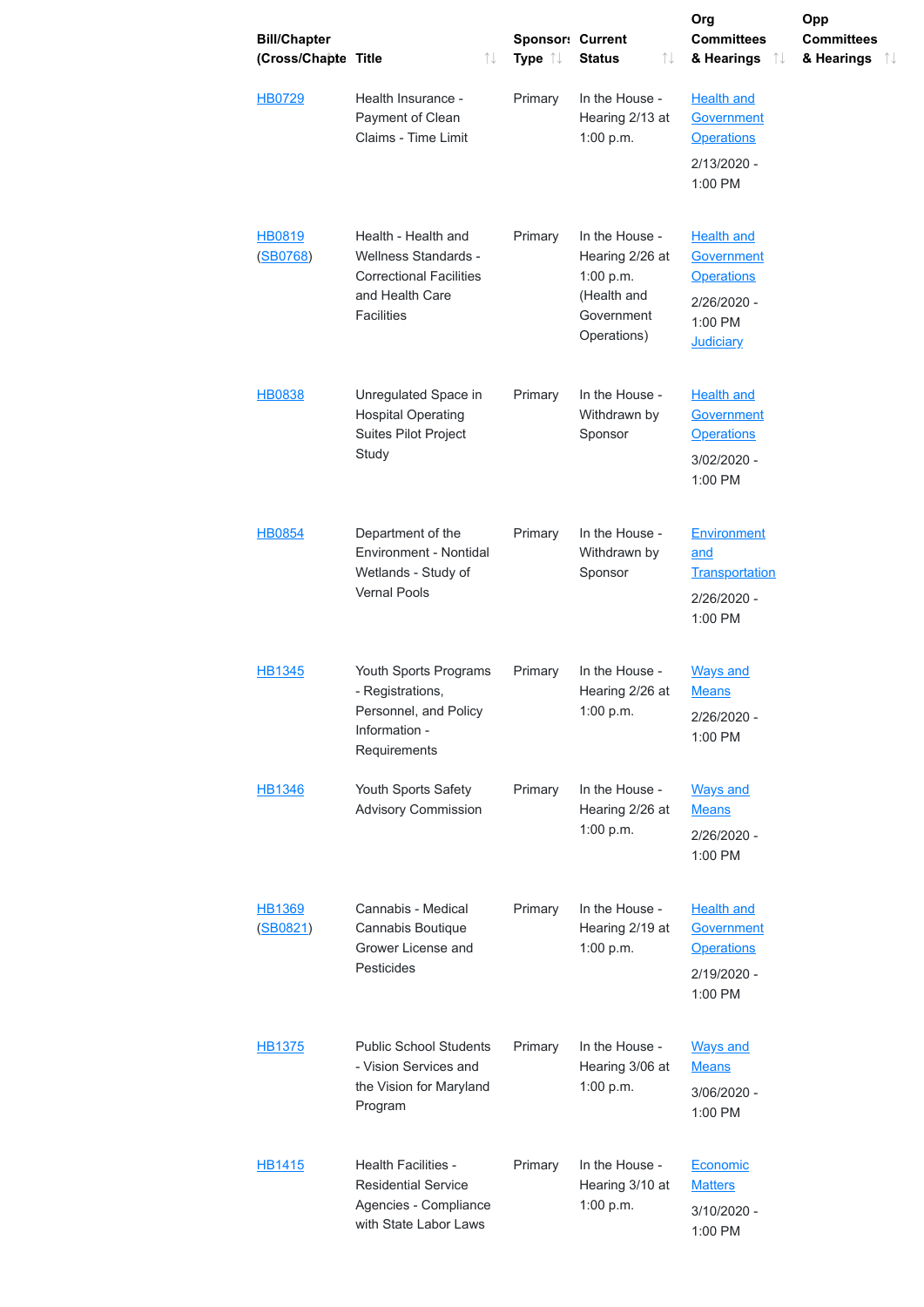[HB1375](http://mgaleg.maryland.gov/mgawebsite/Legislation/Details/hb1375?ys=2020RS&search=True) Public School Students - Vision Services and the Vision for Maryland Program Primary In the House - Hearing 3/06 at 1:00 p.m. [Ways and](http://mgaleg.maryland.gov/mgawebsite/Committees/Details?cmte=w%26m&ys=2020RS&search=True) **Means** 3/06/2020 - 1:00 PM

[HB1415](http://mgaleg.maryland.gov/mgawebsite/Legislation/Details/hb1415?ys=2020RS&search=True) Health Facilities -Residential Service Agencies - Compliance with State Labor Laws Primary In the House - Hearing 3/10 at 1:00 p.m. **[Economic](http://mgaleg.maryland.gov/mgawebsite/Committees/Details?cmte=ecm&ys=2020RS&search=True) Matters** 3/10/2020 - 1:00 PM

| <b>Bill/Chapter</b><br>(Cross/Chapte Title | $\uparrow\downarrow$                                                                                                         | <b>Sponsor: Current</b><br>Type $\uparrow\downarrow$ | <b>Status</b><br>$\uparrow\downarrow$                                                      | Org<br><b>Committees</b><br>& Hearings<br>$\uparrow\downarrow$                                            | Opp<br><b>Committees</b><br>& Hearings<br>ୀ↓ |
|--------------------------------------------|------------------------------------------------------------------------------------------------------------------------------|------------------------------------------------------|--------------------------------------------------------------------------------------------|-----------------------------------------------------------------------------------------------------------|----------------------------------------------|
| <b>HB0729</b>                              | Health Insurance -<br>Payment of Clean<br><b>Claims - Time Limit</b>                                                         | Primary                                              | In the House -<br>Hearing 2/13 at<br>1:00 p.m.                                             | <b>Health and</b><br>Government<br><b>Operations</b><br>$2/13/2020 -$<br>1:00 PM                          |                                              |
| <b>HB0819</b><br>(SB0768)                  | Health - Health and<br><b>Wellness Standards -</b><br><b>Correctional Facilities</b><br>and Health Care<br><b>Facilities</b> | <b>Primary</b>                                       | In the House -<br>Hearing 2/26 at<br>1:00 p.m.<br>(Health and<br>Government<br>Operations) | <b>Health and</b><br><b>Government</b><br><b>Operations</b><br>2/26/2020 -<br>1:00 PM<br><b>Judiciary</b> |                                              |
| <b>HB0838</b>                              | Unregulated Space in<br><b>Hospital Operating</b><br><b>Suites Pilot Project</b><br>Study                                    | Primary                                              | In the House -<br>Withdrawn by<br>Sponsor                                                  | <b>Health and</b><br>Government<br><b>Operations</b><br>3/02/2020 -<br>1:00 PM                            |                                              |
| <b>HB0854</b>                              | Department of the<br><b>Environment - Nontidal</b><br>Wetlands - Study of<br><b>Vernal Pools</b>                             | <b>Primary</b>                                       | In the House -<br>Withdrawn by<br>Sponsor                                                  | <b>Environment</b><br>and<br><b>Transportation</b><br>2/26/2020 -<br>1:00 PM                              |                                              |
| <b>HB1345</b>                              | <b>Youth Sports Programs</b><br>- Registrations,<br>Personnel, and Policy<br>Information -<br>Requirements                   | <b>Primary</b>                                       | In the House -<br>Hearing 2/26 at<br>1:00 p.m.                                             | <b>Ways</b> and<br><b>Means</b><br>2/26/2020 -<br>1:00 PM                                                 |                                              |
| <b>HB1346</b>                              | <b>Youth Sports Safety</b><br><b>Advisory Commission</b>                                                                     | Primary                                              | In the House -<br>Hearing 2/26 at<br>1:00 p.m.                                             | <b>Ways and</b><br><b>Means</b><br>2/26/2020 -<br>1:00 PM                                                 |                                              |
| <b>HB1369</b><br>(SB0821)                  | Cannabis - Medical<br><b>Cannabis Boutique</b><br>Grower License and<br><b>Pesticides</b>                                    | Primary                                              | In the House -<br>Hearing 2/19 at<br>1:00 p.m.                                             | <b>Health and</b><br><b>Government</b><br><b>Operations</b><br>2/19/2020 -                                |                                              |

### 1:00 PM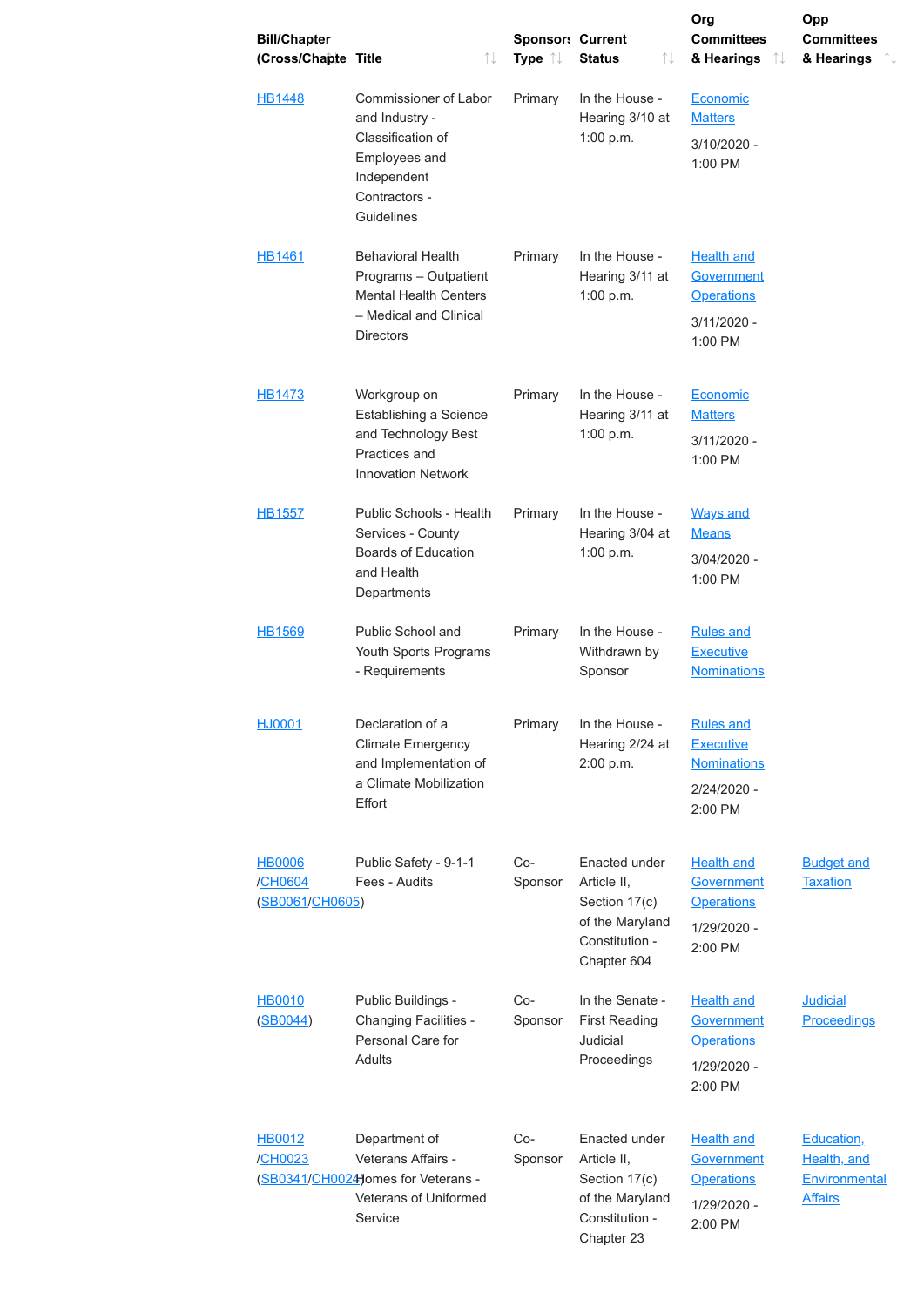[HB0012](http://mgaleg.maryland.gov/mgawebsite/Legislation/Details/hb0012?ys=2020RS&search=True) [/CH0023](http://mgaleg.maryland.gov/mgawebsite/Legislation/Details/hb0012?ys=2020RS&search=True) [\(SB0341/CH0024](http://mgaleg.maryland.gov/mgawebsite/Legislation/Details/sb0341?ys=2020RS&search=True)) omes for Veterans -Department of Veterans Affairs - Veterans of Uniformed Service Co-Sponsor Enacted under Article II, Section 17(c) of the Maryland Constitution - Chapter 23 **Health and [Government](http://mgaleg.maryland.gov/mgawebsite/Committees/Details?cmte=hgo&ys=2020RS&search=True) Operations** 1/29/2020 - 2:00 PM Education, Health, and **[Environmental](http://mgaleg.maryland.gov/mgawebsite/Committees/Details?cmte=ehe&ys=2020RS&search=True) Affairs** 

| <b>Bill/Chapter</b><br>(Cross/Chapte Title  | ↑↓                                                                                                                                               | <b>Sponsor: Current</b><br>Type $\uparrow\downarrow$ | <b>Status</b><br>↑↓                                                                                      | Org<br><b>Committees</b><br>& Hearings<br>$\uparrow \downarrow$                      | Opp<br><b>Committees</b><br>& Hearings<br>TV |
|---------------------------------------------|--------------------------------------------------------------------------------------------------------------------------------------------------|------------------------------------------------------|----------------------------------------------------------------------------------------------------------|--------------------------------------------------------------------------------------|----------------------------------------------|
| <b>HB1448</b>                               | <b>Commissioner of Labor</b><br>and Industry -<br>Classification of<br><b>Employees and</b><br>Independent<br>Contractors -<br><b>Guidelines</b> | Primary                                              | In the House -<br>Hearing 3/10 at<br>1:00 p.m.                                                           | Economic<br><b>Matters</b><br>3/10/2020 -<br>1:00 PM                                 |                                              |
| <b>HB1461</b>                               | <b>Behavioral Health</b><br>Programs - Outpatient<br><b>Mental Health Centers</b><br>- Medical and Clinical<br><b>Directors</b>                  | Primary                                              | In the House -<br>Hearing 3/11 at<br>1:00 p.m.                                                           | <b>Health and</b><br>Government<br><b>Operations</b><br>$3/11/2020 -$<br>1:00 PM     |                                              |
| <b>HB1473</b>                               | Workgroup on<br><b>Establishing a Science</b><br>and Technology Best<br><b>Practices and</b><br><b>Innovation Network</b>                        | Primary                                              | In the House -<br>Hearing 3/11 at<br>1:00 p.m.                                                           | Economic<br><b>Matters</b><br>$3/11/2020 -$<br>1:00 PM                               |                                              |
| <b>HB1557</b>                               | <b>Public Schools - Health</b><br>Services - County<br><b>Boards of Education</b><br>and Health<br>Departments                                   | Primary                                              | In the House -<br>Hearing 3/04 at<br>1:00 p.m.                                                           | <b>Ways and</b><br><b>Means</b><br>3/04/2020 -<br>1:00 PM                            |                                              |
| <b>HB1569</b>                               | <b>Public School and</b><br><b>Youth Sports Programs</b><br>- Requirements                                                                       | Primary                                              | In the House -<br>Withdrawn by<br>Sponsor                                                                | <b>Rules and</b><br><b>Executive</b><br><b>Nominations</b>                           |                                              |
| HJ0001                                      | Declaration of a<br><b>Climate Emergency</b><br>and Implementation of<br>a Climate Mobilization<br><b>Effort</b>                                 | Primary                                              | In the House -<br>Hearing 2/24 at<br>2:00 p.m.                                                           | <b>Rules and</b><br><b>Executive</b><br><b>Nominations</b><br>2/24/2020 -<br>2:00 PM |                                              |
| <b>HB0006</b><br>/CH0604<br>(SB0061/CH0605) | Public Safety - 9-1-1<br>Fees - Audits                                                                                                           | $Co-$<br>Sponsor                                     | <b>Enacted under</b><br>Article II,<br>Section 17(c)<br>of the Maryland<br>Constitution -<br>Chapter 604 | <b>Health and</b><br>Government<br><b>Operations</b><br>1/29/2020 -<br>2:00 PM       | <b>Budget and</b><br><b>Taxation</b>         |



Public Buildings - Changing Facilities - Personal Care for Adults

Co-Sponsor In the Senate - First Reading Judicial Proceedings **Health and [Government](http://mgaleg.maryland.gov/mgawebsite/Committees/Details?cmte=hgo&ys=2020RS&search=True) Operations** 1/29/2020 - 2:00 PM

**Judicial** 

**[Proceedings](http://mgaleg.maryland.gov/mgawebsite/Committees/Details?cmte=jpr&ys=2020RS&search=True)**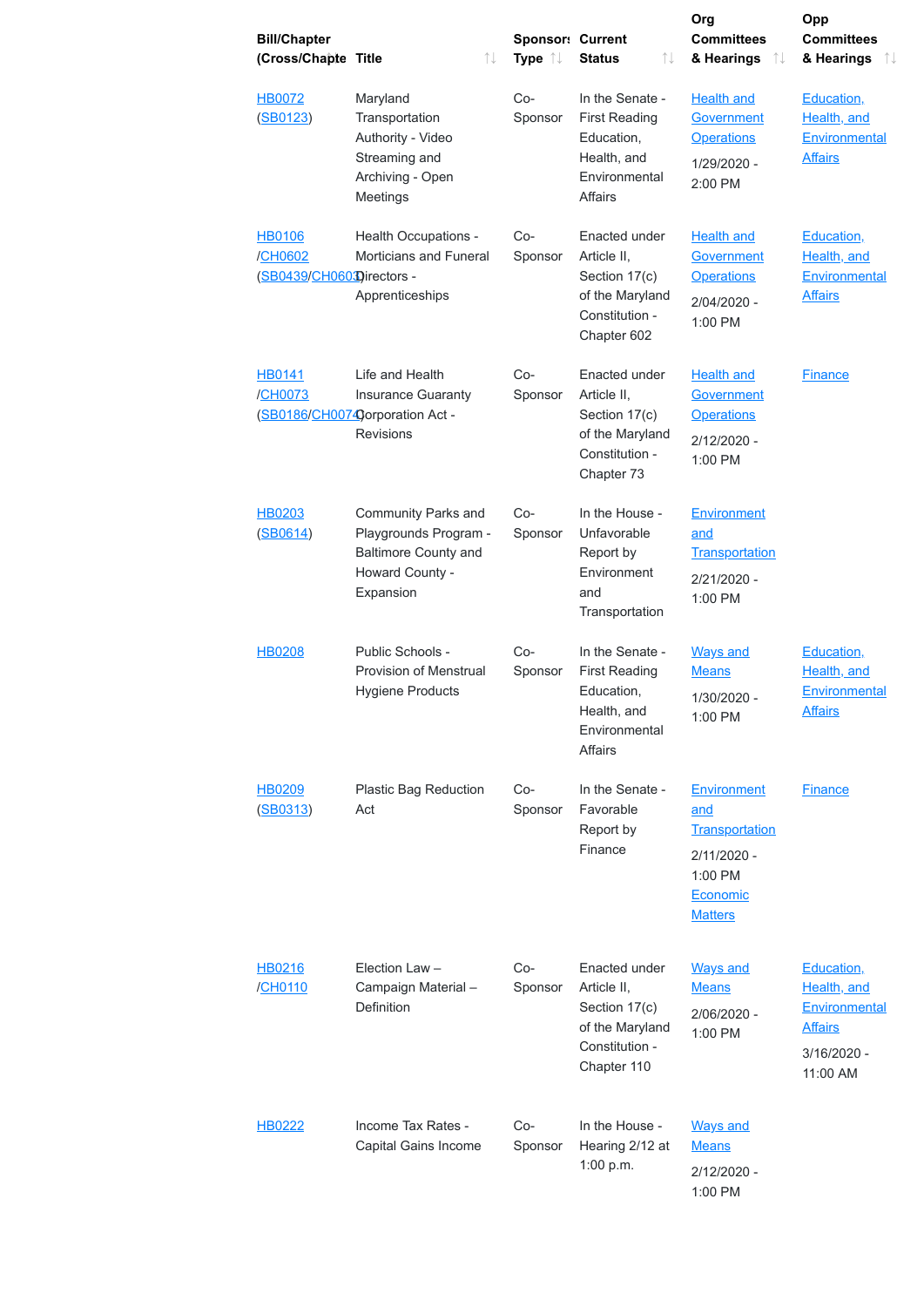| <b>Bill/Chapter</b><br>(Cross/Chapte Title           | ⇅                                                                                                                  | <b>Sponsor: Current</b><br>Type 1 | $\uparrow\downarrow$<br><b>Status</b>                                                                   | Org<br><b>Committees</b><br>& Hearings<br>$\uparrow \downarrow$                                              | Opp<br><b>Committees</b><br>& Hearings<br>$\uparrow \downarrow$             |
|------------------------------------------------------|--------------------------------------------------------------------------------------------------------------------|-----------------------------------|---------------------------------------------------------------------------------------------------------|--------------------------------------------------------------------------------------------------------------|-----------------------------------------------------------------------------|
| <b>HB0072</b><br>(SB0123)                            | Maryland<br>Transportation<br>Authority - Video<br>Streaming and<br>Archiving - Open<br><b>Meetings</b>            | $Co-$<br>Sponsor                  | In the Senate -<br><b>First Reading</b><br>Education,<br>Health, and<br>Environmental<br><b>Affairs</b> | <b>Health and</b><br><b>Government</b><br><b>Operations</b><br>1/29/2020 -<br>2:00 PM                        | Education,<br><b>Health, and</b><br><b>Environmental</b><br><b>Affairs</b>  |
| <b>HB0106</b><br>/CH0602<br>(SB0439/CH060Directors - | <b>Health Occupations -</b><br><b>Morticians and Funeral</b><br>Apprenticeships                                    | $Co-$<br>Sponsor                  | Enacted under<br>Article II,<br>Section 17(c)<br>of the Maryland<br>Constitution -<br>Chapter 602       | <b>Health and</b><br>Government<br><b>Operations</b><br>$2/04/2020 -$<br>1:00 PM                             | Education,<br><b>Health, and</b><br>Environmental<br><b>Affairs</b>         |
| <b>HB0141</b><br>/CH0073                             | Life and Health<br><b>Insurance Guaranty</b><br>(SB0186/CH0074)orporation Act -<br><b>Revisions</b>                | $Co-$<br>Sponsor                  | Enacted under<br>Article II,<br>Section 17(c)<br>of the Maryland<br>Constitution -<br>Chapter 73        | <b>Health and</b><br><b>Government</b><br><b>Operations</b><br>2/12/2020 -<br>1:00 PM                        | <b>Finance</b>                                                              |
| <b>HB0203</b><br>(SB0614)                            | <b>Community Parks and</b><br>Playgrounds Program -<br><b>Baltimore County and</b><br>Howard County -<br>Expansion | $Co-$<br>Sponsor                  | In the House -<br>Unfavorable<br>Report by<br>Environment<br>and<br>Transportation                      | <b>Environment</b><br>and<br><b>Transportation</b><br>2/21/2020 -<br>1:00 PM                                 |                                                                             |
| <b>HB0208</b>                                        | Public Schools -<br><b>Provision of Menstrual</b><br><b>Hygiene Products</b>                                       | $Co-$<br>Sponsor                  | In the Senate -<br><b>First Reading</b><br>Education,<br>Health, and<br>Environmental<br><b>Affairs</b> | <b>Ways and</b><br><b>Means</b><br>1/30/2020 -<br>1:00 PM                                                    | Education,<br><b>Health</b> , and<br><b>Environmental</b><br><b>Affairs</b> |
| <b>HB0209</b><br><u>(SB0313)</u>                     | <b>Plastic Bag Reduction</b><br>Act                                                                                | $Co-$<br>Sponsor                  | In the Senate -<br>Favorable<br>Report by<br>Finance                                                    | <b>Environment</b><br>and<br><b>Transportation</b><br>$2/11/2020 -$<br>1:00 PM<br>Economic<br><b>Matters</b> | <b>Finance</b>                                                              |
| <b>HB0216</b>                                        | Election Law -                                                                                                     | $Co-$                             | <b>Enacted under</b>                                                                                    | <b>Ways and</b>                                                                                              | Education,                                                                  |

| /CH0110       | Campaign Material-<br><b>Definition</b>           | Sponsor          | Article II,<br>Section 17(c)<br>of the Maryland<br>Constitution -<br>Chapter 110 | <b>Means</b><br>2/06/2020 -<br>1:00 PM                      | <b>Health, and</b><br><b>Environmental</b><br><b>Affairs</b><br>$3/16/2020 -$<br>11:00 AM |
|---------------|---------------------------------------------------|------------------|----------------------------------------------------------------------------------|-------------------------------------------------------------|-------------------------------------------------------------------------------------------|
| <b>HB0222</b> | Income Tax Rates -<br><b>Capital Gains Income</b> | $Co-$<br>Sponsor | In the House -<br>Hearing 2/12 at<br>1:00 $p.m.$                                 | <b>Ways and</b><br><b>Means</b><br>$2/12/2020 -$<br>1:00 PM |                                                                                           |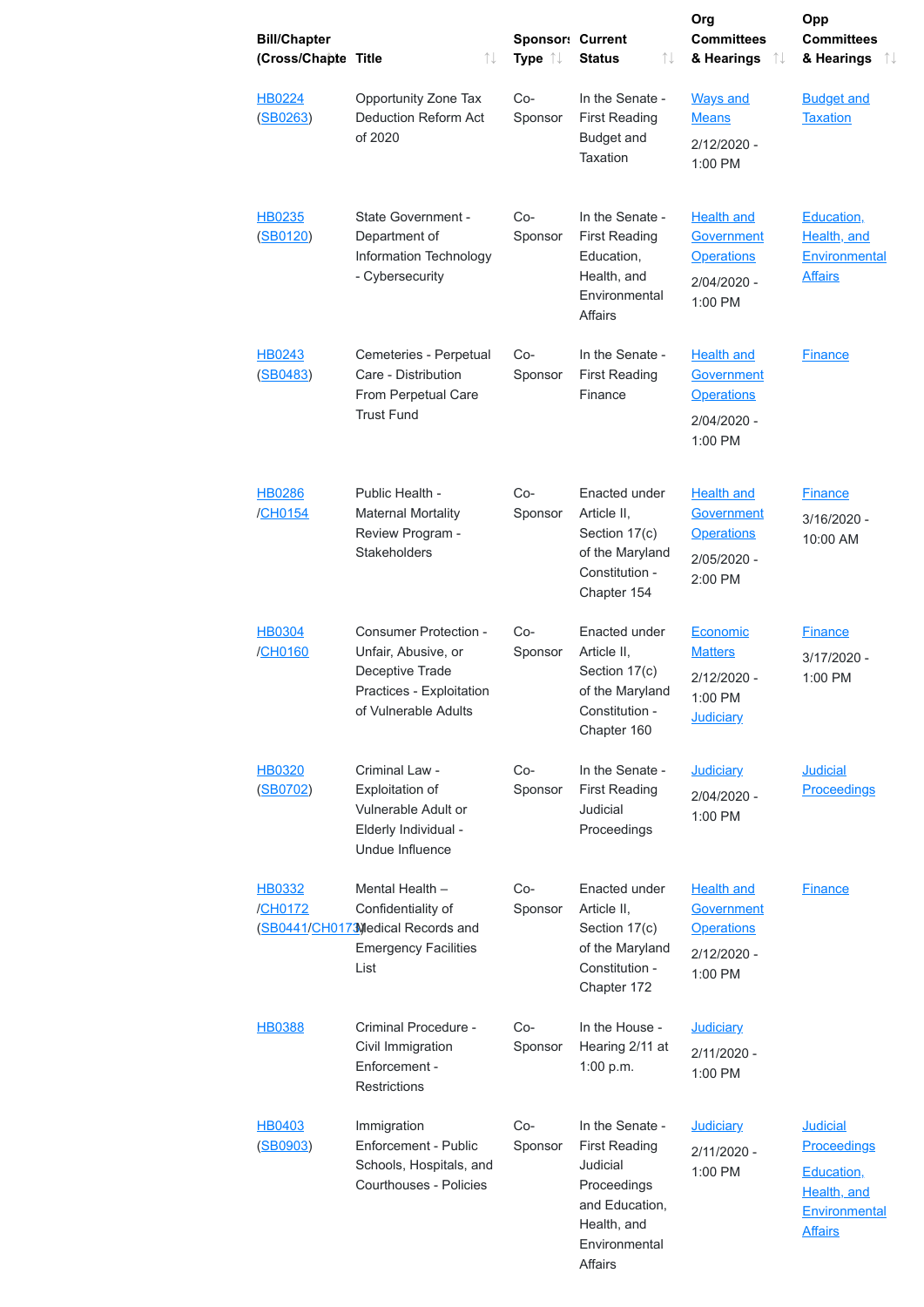**[Judiciary](http://mgaleg.maryland.gov/mgawebsite/Committees/Details?cmte=jud&ys=2020RS&search=True)** 2/11/2020 - 1:00 PM

**[Judiciary](http://mgaleg.maryland.gov/mgawebsite/Committees/Details?cmte=jud&ys=2020RS&search=True)** 

| <b>Bill/Chapter</b><br>(Cross/Chapte Title | ⇅                                                                                                                          | <b>Sponsor: Current</b><br>Type 1 | ⇅<br><b>Status</b>                                                                                       | Org<br><b>Committees</b><br>& Hearings<br>$\uparrow \downarrow$                       | Opp<br><b>Committees</b><br>& Hearings<br>T                                 |
|--------------------------------------------|----------------------------------------------------------------------------------------------------------------------------|-----------------------------------|----------------------------------------------------------------------------------------------------------|---------------------------------------------------------------------------------------|-----------------------------------------------------------------------------|
| <b>HB0224</b><br>(SB0263)                  | <b>Opportunity Zone Tax</b><br><b>Deduction Reform Act</b><br>of 2020                                                      | $Co-$<br>Sponsor                  | In the Senate -<br><b>First Reading</b><br><b>Budget and</b><br><b>Taxation</b>                          | <b>Ways and</b><br><b>Means</b><br>$2/12/2020 -$<br>1:00 PM                           | <b>Budget and</b><br><b>Taxation</b>                                        |
| <b>HB0235</b><br>(SB0120)                  | <b>State Government -</b><br>Department of<br><b>Information Technology</b><br>- Cybersecurity                             | $Co-$<br>Sponsor                  | In the Senate -<br><b>First Reading</b><br>Education,<br>Health, and<br>Environmental<br><b>Affairs</b>  | <b>Health and</b><br>Government<br><b>Operations</b><br>2/04/2020 -<br>1:00 PM        | Education,<br><b>Health</b> , and<br><b>Environmental</b><br><b>Affairs</b> |
| <b>HB0243</b><br>(SB0483)                  | Cemeteries - Perpetual<br>Care - Distribution<br><b>From Perpetual Care</b><br><b>Trust Fund</b>                           | $Co-$<br>Sponsor                  | In the Senate -<br><b>First Reading</b><br>Finance                                                       | <b>Health and</b><br><b>Government</b><br><b>Operations</b><br>2/04/2020 -<br>1:00 PM | <b>Finance</b>                                                              |
| <b>HB0286</b><br>/CH0154                   | Public Health -<br><b>Maternal Mortality</b><br>Review Program -<br><b>Stakeholders</b>                                    | $Co-$<br>Sponsor                  | <b>Enacted under</b><br>Article II,<br>Section 17(c)<br>of the Maryland<br>Constitution -<br>Chapter 154 | <b>Health and</b><br><b>Government</b><br><b>Operations</b><br>2/05/2020 -<br>2:00 PM | <b>Finance</b><br>3/16/2020 -<br>10:00 AM                                   |
| <b>HB0304</b><br>/CH0160                   | <b>Consumer Protection -</b><br>Unfair, Abusive, or<br>Deceptive Trade<br>Practices - Exploitation<br>of Vulnerable Adults | $Co-$<br>Sponsor                  | Enacted under<br>Article II,<br>Section 17(c)<br>of the Maryland<br>Constitution -<br>Chapter 160        | Economic<br><b>Matters</b><br>$2/12/2020 -$<br>1:00 PM<br><b>Judiciary</b>            | <b>Finance</b><br>3/17/2020 -<br>1:00 PM                                    |
| <b>HB0320</b><br>(SB0702)                  | Criminal Law -<br><b>Exploitation of</b><br><b>Vulnerable Adult or</b><br>Elderly Individual -<br>Undue Influence          | $Co-$<br>Sponsor                  | In the Senate -<br><b>First Reading</b><br>Judicial<br>Proceedings                                       | <b>Judiciary</b><br>2/04/2020 -<br>1:00 PM                                            | <b>Judicial</b><br><b>Proceedings</b>                                       |
| <b>HB0332</b><br>/CH0172                   | Mental Health -<br>Confidentiality of<br>(SB0441/CH0173) edical Records and<br><b>Emergency Facilities</b><br>List         | $Co-$<br>Sponsor                  | <b>Enacted under</b><br>Article II,<br>Section 17(c)<br>of the Maryland<br>Constitution -                | <b>Health and</b><br><b>Government</b><br><b>Operations</b><br>2/12/2020 -<br>1:00 PM | <b>Finance</b>                                                              |

Chapter 172

Co-

Sponsor



[HB0388](http://mgaleg.maryland.gov/mgawebsite/Legislation/Details/hb0388?ys=2020RS&search=True) Criminal Procedure -Civil Immigration Enforcement - **Restrictions** 

In the House - Hearing 2/11 at

1:00 p.m.

2/11/2020 -

**Judicial [Proceedings](http://mgaleg.maryland.gov/mgawebsite/Committees/Details?cmte=jpr&ys=2020RS&search=True)** Education, Health, and **[Environmental](http://mgaleg.maryland.gov/mgawebsite/Committees/Details?cmte=ehe&ys=2020RS&search=True) Affairs** 

1:00 PM

[HB0403](http://mgaleg.maryland.gov/mgawebsite/Legislation/Details/hb0403?ys=2020RS&search=True) [\(SB0903\)](http://mgaleg.maryland.gov/mgawebsite/Legislation/Details/sb0903?ys=2020RS&search=True)

Immigration Enforcement - Public Schools, Hospitals, and Courthouses - Policies

Co-

Sponsor In the Senate - First Reading Judicial Proceedings and Education, Health, and **Environmental** Affairs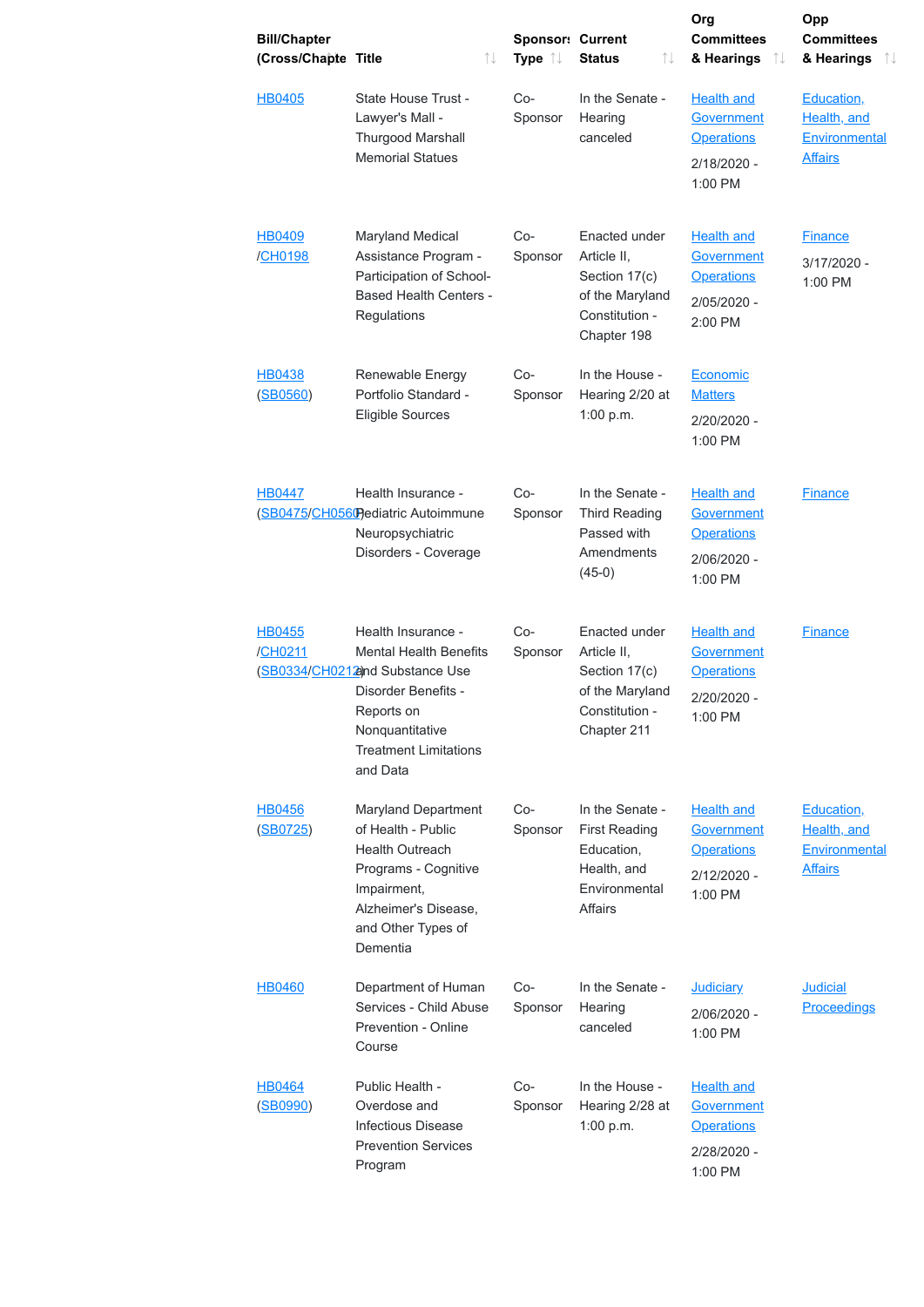[HB0460](http://mgaleg.maryland.gov/mgawebsite/Legislation/Details/hb0460?ys=2020RS&search=True) Department of Human Services - Child Abuse Prevention - Online Course Co-Sponsor In the Senate - **Hearing** canceled <u>[Judiciary](http://mgaleg.maryland.gov/mgawebsite/Committees/Details?cmte=jud&ys=2020RS&search=True)</u> 2/06/2020 - 1:00 PM **Judicial [Proceedings](http://mgaleg.maryland.gov/mgawebsite/Committees/Details?cmte=jpr&ys=2020RS&search=True)** Public Health - Overdose and Infectious Disease Prevention Services Program Co-Sponsor In the House - Hearing 2/28 at 1:00 p.m. **Health and [Government](http://mgaleg.maryland.gov/mgawebsite/Committees/Details?cmte=hgo&ys=2020RS&search=True) Operations** 2/28/2020 - 1:00 PM

| <b>Bill/Chapter</b><br>(Cross/Chapte Title | ↑↓                                                                                                                                                                                         | <b>Sponsor: Current</b><br>Type 1 | $\uparrow\downarrow$<br><b>Status</b>                                                                    | Org<br><b>Committees</b><br>& Hearings<br>$\uparrow \downarrow$                         | Opp<br><b>Committees</b><br>& Hearings<br>TV                               |
|--------------------------------------------|--------------------------------------------------------------------------------------------------------------------------------------------------------------------------------------------|-----------------------------------|----------------------------------------------------------------------------------------------------------|-----------------------------------------------------------------------------------------|----------------------------------------------------------------------------|
| <b>HB0405</b>                              | <b>State House Trust -</b><br>Lawyer's Mall -<br><b>Thurgood Marshall</b><br><b>Memorial Statues</b>                                                                                       | $Co-$<br>Sponsor                  | In the Senate -<br>Hearing<br>canceled                                                                   | <b>Health and</b><br>Government<br><b>Operations</b><br>2/18/2020 -<br>1:00 PM          | Education,<br><b>Health, and</b><br>Environmental<br><b>Affairs</b>        |
| <b>HB0409</b><br>/CH0198                   | <b>Maryland Medical</b><br>Assistance Program -<br>Participation of School-<br><b>Based Health Centers -</b><br>Regulations                                                                | $Co-$<br>Sponsor                  | <b>Enacted under</b><br>Article II,<br>Section 17(c)<br>of the Maryland<br>Constitution -<br>Chapter 198 | <b>Health and</b><br><b>Government</b><br><b>Operations</b><br>2/05/2020 -<br>2:00 PM   | <b>Finance</b><br>$3/17/2020 -$<br>1:00 PM                                 |
| <b>HB0438</b><br><u>(SB0560)</u>           | <b>Renewable Energy</b><br>Portfolio Standard -<br><b>Eligible Sources</b>                                                                                                                 | $Co-$<br>Sponsor                  | In the House -<br>Hearing 2/20 at<br>1:00 p.m.                                                           | <b>Economic</b><br><b>Matters</b><br>2/20/2020 -<br>1:00 PM                             |                                                                            |
| <b>HB0447</b>                              | Health Insurance -<br>SB0475/CH056Cediatric Autoimmune<br>Neuropsychiatric<br>Disorders - Coverage                                                                                         | $Co-$<br>Sponsor                  | In the Senate -<br><b>Third Reading</b><br>Passed with<br>Amendments<br>$(45-0)$                         | <b>Health and</b><br><b>Government</b><br><b>Operations</b><br>2/06/2020 -<br>1:00 PM   | <b>Finance</b>                                                             |
| <b>HB0455</b><br>/CH0211                   | Health Insurance -<br><b>Mental Health Benefits</b><br>(SB0334/CH0212)nd Substance Use<br>Disorder Benefits -<br>Reports on<br>Nonquantitative<br><b>Treatment Limitations</b><br>and Data | $Co-$<br>Sponsor                  | Enacted under<br>Article II,<br>Section 17(c)<br>of the Maryland<br>Constitution -<br>Chapter 211        | <b>Health and</b><br>Government<br><b>Operations</b><br>2/20/2020 -<br>1:00 PM          | <b>Finance</b>                                                             |
| <b>HB0456</b><br><u>(SB0725)</u>           | <b>Maryland Department</b><br>of Health - Public<br><b>Health Outreach</b><br>Programs - Cognitive<br>Impairment,<br>Alzheimer's Disease,<br>and Other Types of<br>Dementia                | $Co-$<br>Sponsor                  | In the Senate -<br><b>First Reading</b><br>Education,<br>Health, and<br>Environmental<br><b>Affairs</b>  | <b>Health and</b><br><b>Government</b><br><b>Operations</b><br>$2/12/2020 -$<br>1:00 PM | Education,<br><b>Health, and</b><br><b>Environmental</b><br><b>Affairs</b> |



[HB0464](http://mgaleg.maryland.gov/mgawebsite/Legislation/Details/hb0464?ys=2020RS&search=True) [\(SB0990\)](http://mgaleg.maryland.gov/mgawebsite/Legislation/Details/sb0990?ys=2020RS&search=True)